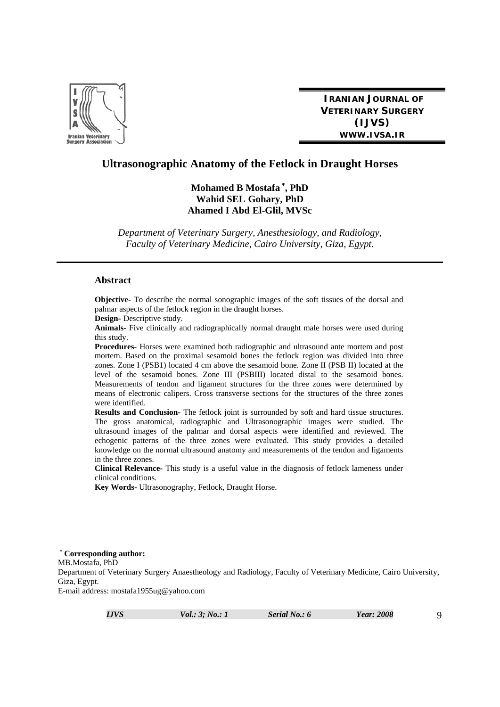

**IRANIAN JOURNAL OF VETERINARY SURGERY (IJVS) WWW.IVSA.IR**

# **Ultrasonographic Anatomy of the Fetlock in Draught Horses**

**Mohamed B Mostafa** <sup>∗</sup> **, PhD Wahid SEL Gohary, PhD Ahamed I Abd El-Glil, MVSc** 

*Department of Veterinary Surgery, Anesthesiology, and Radiology, Faculty of Veterinary Medicine, Cairo University, Giza, Egypt.* 

#### **Abstract**

**Objective-** To describe the normal sonographic images of the soft tissues of the dorsal and palmar aspects of the fetlock region in the draught horses.

**Design-** Descriptive study.

**Animals-** Five clinically and radiographically normal draught male horses were used during this study.

**Procedures-** Horses were examined both radiographic and ultrasound ante mortem and post mortem. Based on the proximal sesamoid bones the fetlock region was divided into three zones. Zone I (PSB1) located 4 cm above the sesamoid bone. Zone II (PSB II) located at the level of the sesamoid bones. Zone III (PSBIII) located distal to the sesamoid bones. Measurements of tendon and ligament structures for the three zones were determined by means of electronic calipers. Cross transverse sections for the structures of the three zones were identified.

**Results and Conclusion-** The fetlock joint is surrounded by soft and hard tissue structures. The gross anatomical, radiographic and Ultrasonographic images were studied. The ultrasound images of the palmar and dorsal aspects were identified and reviewed. The echogenic patterns of the three zones were evaluated. This study provides a detailed knowledge on the normal ultrasound anatomy and measurements of the tendon and ligaments in the three zones.

**Clinical Relevance-** This study is a useful value in the diagnosis of fetlock lameness under clinical conditions.

**Key Words-** Ultrasonography, Fetlock, Draught Horse.

<sup>∗</sup> **Corresponding author:**  MB.Mostafa, PhD Department of Veterinary Surgery Anaestheology and Radiology, Faculty of Veterinary Medicine, Cairo University, Giza, Egypt. E-mail address: mostafa1955ug@yahoo.com

*IJVS Vol.: 3; No.: 1 Serial No.: 6 Year: 2008* 9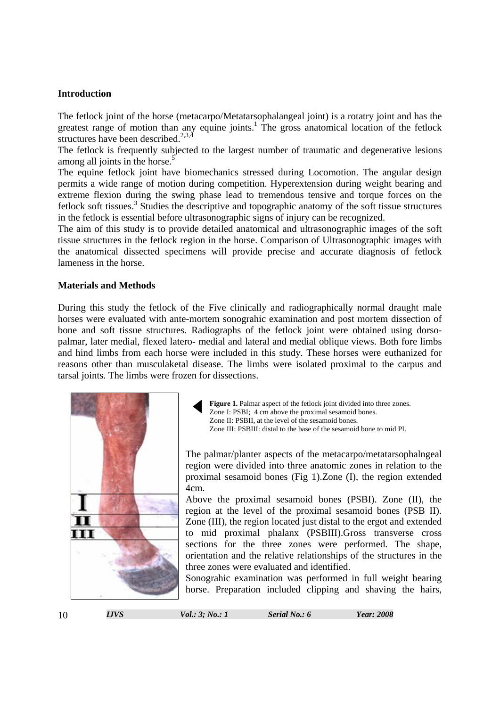### **Introduction**

The fetlock joint of the horse (metacarpo/Metatarsophalangeal joint) is a rotatry joint and has the greatest range of motion than any equine joints.<sup>1</sup> The gross anatomical location of the fetlock structures have been described. $^{2,3,\overline{4}}$ 

The fetlock is frequently subjected to the largest number of traumatic and degenerative lesions among all joints in the horse.<sup>5</sup>

The equine fetlock joint have biomechanics stressed during Locomotion. The angular design permits a wide range of motion during competition. Hyperextension during weight bearing and extreme flexion during the swing phase lead to tremendous tensive and torque forces on the fetlock soft tissues.<sup>3</sup> Studies the descriptive and topographic anatomy of the soft tissue structures in the fetlock is essential before ultrasonographic signs of injury can be recognized.

The aim of this study is to provide detailed anatomical and ultrasonographic images of the soft tissue structures in the fetlock region in the horse. Comparison of Ultrasonographic images with the anatomical dissected specimens will provide precise and accurate diagnosis of fetlock lameness in the horse.

#### **Materials and Methods**

During this study the fetlock of the Five clinically and radiographically normal draught male horses were evaluated with ante-mortem sonograhic examination and post mortem dissection of bone and soft tissue structures. Radiographs of the fetlock joint were obtained using dorsopalmar, later medial, flexed latero- medial and lateral and medial oblique views. Both fore limbs and hind limbs from each horse were included in this study. These horses were euthanized for reasons other than musculaketal disease. The limbs were isolated proximal to the carpus and tarsal joints. The limbs were frozen for dissections.



Figure 1. Palmar aspect of the fetlock joint divided into three zones. Zone I: PSBI; 4 cm above the proximal sesamoid bones. Zone II: PSBII, at the level of the sesamoid bones. Zone III: PSBIII: distal to the base of the sesamoid bone to mid PI.

The palmar/planter aspects of the metacarpo/metatarsophalngeal region were divided into three anatomic zones in relation to the proximal sesamoid bones (Fig 1).Zone (I), the region extended 4cm.

Above the proximal sesamoid bones (PSBI). Zone (II), the region at the level of the proximal sesamoid bones (PSB II). Zone (III), the region located just distal to the ergot and extended to mid proximal phalanx (PSBIII).Gross transverse cross sections for the three zones were performed. The shape, orientation and the relative relationships of the structures in the three zones were evaluated and identified.

Sonograhic examination was performed in full weight bearing horse. Preparation included clipping and shaving the hairs,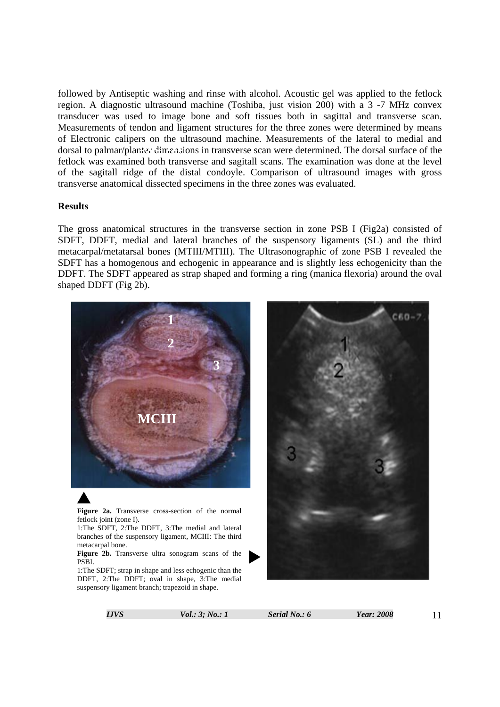followed by Antiseptic washing and rinse with alcohol. Acoustic gel was applied to the fetlock region. A diagnostic ultrasound machine (Toshiba, just vision 200) with a 3 -7 MHz convex transducer was used to image bone and soft tissues both in sagittal and transverse scan. Measurements of tendon and ligament structures for the three zones were determined by means of Electronic calipers on the ultrasound machine. Measurements of the lateral to medial and or Electronic campers on the untasomer machine. Measurements of the fatch to mediar and dorsal to palmar/planter dimensions in transverse scan were determined. The dorsal surface of the fetlock was examined both transverse and sagitall scans. The examination was done at the level of the sagitall ridge of the distal condoyle. Comparison of ultrasound images with gross transverse anatomical dissected specimens in the three zones was evaluated.

#### **Results**

The gross anatomical structures in the transverse section in zone PSB I (Fig2a) consisted of SDFT, DDFT, medial and lateral branches of the suspensory ligaments (SL) and the third metacarpal/metatarsal bones (MTIII/MTIII). The Ultrasonographic of zone PSB I revealed the SDFT has a homogenous and echogenic in appearance and is slightly less echogenicity than the DDFT. The SDFT appeared as strap shaped and forming a ring (manica flexoria) around the oval shaped DDFT (Fig 2b).



DDFT, 2:The DDFT; oval in shape, 3:The medial suspensory ligament branch; trapezoid in shape.

*IJVS Vol.: 3; No.: 1 Serial No.: 6 Year: 2008* 11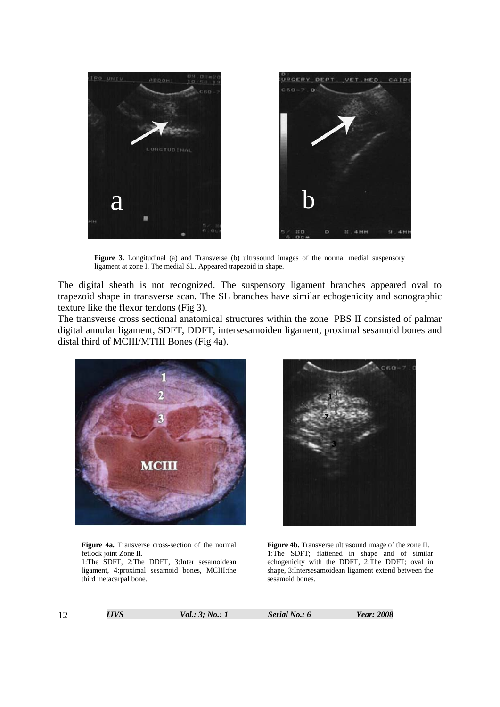

Figure 3. Longitudinal (a) and Transverse (b) ultrasound images of the normal medial suspensory ligament at zone I. The medial SL. Appeared trapezoid in shape.

The digital sheath is not recognized. The suspensory ligament branches appeared oval to trapezoid shape in transverse scan. The SL branches have similar echogenicity and sonographic texture like the flexor tendons (Fig 3).

The transverse cross sectional anatomical structures within the zone PBS II consisted of palmar digital annular ligament, SDFT, DDFT, intersesamoiden ligament, proximal sesamoid bones and distal third of MCIII/MTIII Bones (Fig 4a).



**Figure 4a.** Transverse cross-section of the normal fetlock joint Zone II.

1:The SDFT, 2:The DDFT, 3:Inter sesamoidean ligament, 4:proximal sesamoid bones, MCIII:the third metacarpal bone.



**Figure 4b.** Transverse ultrasound image of the zone II. 1:The SDFT; flattened in shape and of similar echogenicity with the DDFT, 2:The DDFT; oval in shape, 3:Intersesamoidean ligament extend between the sesamoid bones.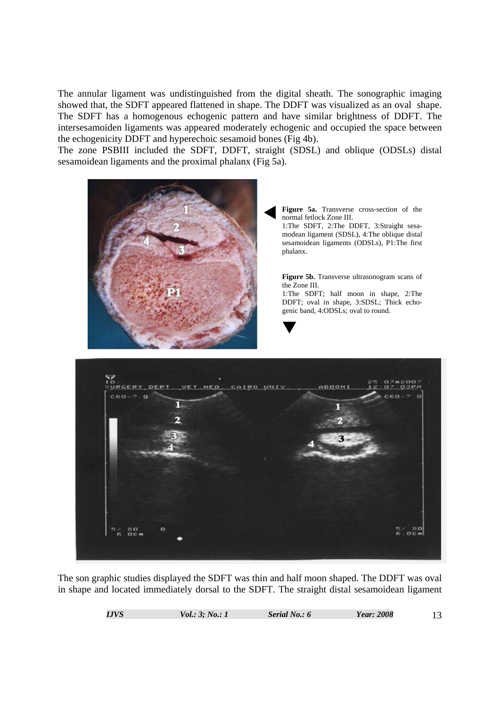The annular ligament was undistinguished from the digital sheath. The sonographic imaging showed that, the SDFT appeared flattened in shape. The DDFT was visualized as an oval shape. The SDFT has a homogenous echogenic pattern and have similar brightness of DDFT. The intersesamoiden ligaments was appeared moderately echogenic and occupied the space between the echogenicity DDFT and hyperechoic sesamoid bones (Fig 4b).

The zone PSBIII included the SDFT, DDFT, straight (SDSL) and oblique (ODSLs) distal sesamoidean ligaments and the proximal phalanx (Fig 5a).



The son graphic studies displayed the SDFT was thin and half moon shaped. The DDFT was oval in shape and located immediately dorsal to the SDFT. The straight distal sesamoidean ligament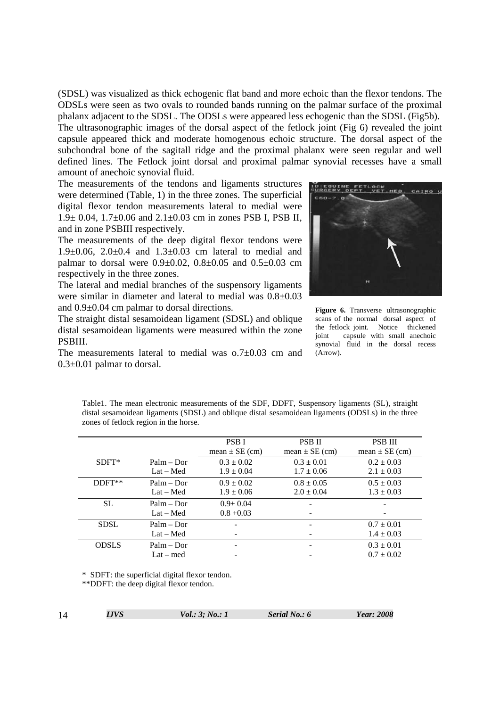(SDSL) was visualized as thick echogenic flat band and more echoic than the flexor tendons. The ODSLs were seen as two ovals to rounded bands running on the palmar surface of the proximal phalanx adjacent to the SDSL. The ODSLs were appeared less echogenic than the SDSL (Fig5b). The ultrasonographic images of the dorsal aspect of the fetlock joint (Fig 6) revealed the joint capsule appeared thick and moderate homogenous echoic structure. The dorsal aspect of the subchondral bone of the sagitall ridge and the proximal phalanx were seen regular and well defined lines. The Fetlock joint dorsal and proximal palmar synovial recesses have a small amount of anechoic synovial fluid.

The measurements of the tendons and ligaments structures were determined (Table, 1) in the three zones. The superficial digital flexor tendon measurements lateral to medial were 1.9± 0.04, 1.7±0.06 and 2.1±0.03 cm in zones PSB I, PSB II, and in zone PSBIII respectively.

The measurements of the deep digital flexor tendons were 1.9 $\pm$ 0.06, 2.0 $\pm$ 0.4 and 1.3 $\pm$ 0.03 cm lateral to medial and palmar to dorsal were  $0.9 \pm 0.02$ ,  $0.8 \pm 0.05$  and  $0.5 \pm 0.03$  cm respectively in the three zones.

The lateral and medial branches of the suspensory ligaments were similar in diameter and lateral to medial was 0.8±0.03 and 0.9±0.04 cm palmar to dorsal directions.

The straight distal sesamoidean ligament (SDSL) and oblique distal sesamoidean ligaments were measured within the zone PSBIII.

The measurements lateral to medial was o.7±0.03 cm and 0.3±0.01 palmar to dorsal.



**Figure 6.** Transverse ultrasonographic scans of the normal dorsal aspect of the fetlock joint. Notice thickened joint capsule with small anechoic synovial fluid in the dorsal recess (Arrow).

Table1. The mean electronic measurements of the SDF, DDFT, Suspensory ligaments (SL), straight distal sesamoidean ligaments (SDSL) and oblique distal sesamoidean ligaments (ODSLs) in the three zones of fetlock region in the horse.

|              |              | <b>PSBI</b>        | <b>PSB II</b>      | <b>PSB III</b>     |
|--------------|--------------|--------------------|--------------------|--------------------|
|              |              | mean $\pm$ SE (cm) | mean $\pm$ SE (cm) | mean $\pm$ SE (cm) |
| $SDFT*$      | $Palm - Dor$ | $0.3 \pm 0.02$     | $0.3 \pm 0.01$     | $0.2 \pm 0.03$     |
|              | $Lat - Med$  | $1.9 \pm 0.04$     | $1.7 \pm 0.06$     | $2.1 \pm 0.03$     |
| DDFT**       | $Palm - Dor$ | $0.9 \pm 0.02$     | $0.8 \pm 0.05$     | $0.5 \pm 0.03$     |
|              | $Lat - Med$  | $1.9 \pm 0.06$     | $2.0 \pm 0.04$     | $1.3 \pm 0.03$     |
| SL.          | $Palm - Dor$ | $0.9 + 0.04$       |                    |                    |
|              | $Lat - Med$  | $0.8 + 0.03$       |                    |                    |
| <b>SDSL</b>  | $Palm - Dor$ |                    |                    | $0.7 \pm 0.01$     |
|              | $Lat - Med$  |                    |                    | $1.4 \pm 0.03$     |
| <b>ODSLS</b> | $Palm - Dor$ |                    |                    | $0.3 \pm 0.01$     |
|              | $Lat - med$  |                    |                    | $0.7 \pm 0.02$     |

\* SDFT: the superficial digital flexor tendon.

\*\*DDFT: the deep digital flexor tendon.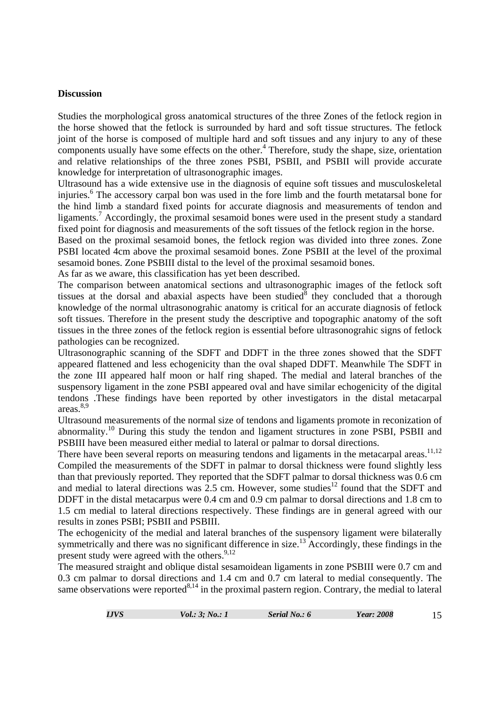#### **Discussion**

Studies the morphological gross anatomical structures of the three Zones of the fetlock region in the horse showed that the fetlock is surrounded by hard and soft tissue structures. The fetlock joint of the horse is composed of multiple hard and soft tissues and any injury to any of these components usually have some effects on the other. $4$  Therefore, study the shape, size, orientation and relative relationships of the three zones PSBI, PSBII, and PSBII will provide accurate knowledge for interpretation of ultrasonographic images.

Ultrasound has a wide extensive use in the diagnosis of equine soft tissues and musculoskeletal injuries.<sup>6</sup> The accessory carpal bon was used in the fore limb and the fourth metatarsal bone for the hind limb a standard fixed points for accurate diagnosis and measurements of tendon and ligaments.<sup>7</sup> Accordingly, the proximal sesamoid bones were used in the present study a standard fixed point for diagnosis and measurements of the soft tissues of the fetlock region in the horse.

Based on the proximal sesamoid bones, the fetlock region was divided into three zones. Zone PSBI located 4cm above the proximal sesamoid bones. Zone PSBII at the level of the proximal sesamoid bones. Zone PSBIII distal to the level of the proximal sesamoid bones.

As far as we aware, this classification has yet been described.

The comparison between anatomical sections and ultrasonographic images of the fetlock soft tissues at the dorsal and abaxial aspects have been studied  $\delta$  they concluded that a thorough knowledge of the normal ultrasonograhic anatomy is critical for an accurate diagnosis of fetlock soft tissues. Therefore in the present study the descriptive and topographic anatomy of the soft tissues in the three zones of the fetlock region is essential before ultrasonograhic signs of fetlock pathologies can be recognized.

Ultrasonographic scanning of the SDFT and DDFT in the three zones showed that the SDFT appeared flattened and less echogenicity than the oval shaped DDFT. Meanwhile The SDFT in the zone III appeared half moon or half ring shaped. The medial and lateral branches of the suspensory ligament in the zone PSBI appeared oval and have similar echogenicity of the digital tendons .These findings have been reported by other investigators in the distal metacarpal areas.8,9

Ultrasound measurements of the normal size of tendons and ligaments promote in reconization of abnormality.<sup>10</sup> During this study the tendon and ligament structures in zone PSBI, PSBII and PSBIII have been measured either medial to lateral or palmar to dorsal directions.

There have been several reports on measuring tendons and ligaments in the metacarpal areas.<sup>11,12</sup> Compiled the measurements of the SDFT in palmar to dorsal thickness were found slightly less than that previously reported. They reported that the SDFT palmar to dorsal thickness was 0.6 cm and medial to lateral directions was  $2.5$  cm. However, some studies<sup>12</sup> found that the SDFT and DDFT in the distal metacarpus were 0.4 cm and 0.9 cm palmar to dorsal directions and 1.8 cm to 1.5 cm medial to lateral directions respectively. These findings are in general agreed with our results in zones PSBI; PSBII and PSBIII.

The echogenicity of the medial and lateral branches of the suspensory ligament were bilaterally symmetrically and there was no significant difference in size.<sup>13</sup> Accordingly, these findings in the present study were agreed with the others.  $9,12$ 

The measured straight and oblique distal sesamoidean ligaments in zone PSBIII were 0.7 cm and 0.3 cm palmar to dorsal directions and 1.4 cm and 0.7 cm lateral to medial consequently. The same observations were reported $8,14$  in the proximal pastern region. Contrary, the medial to lateral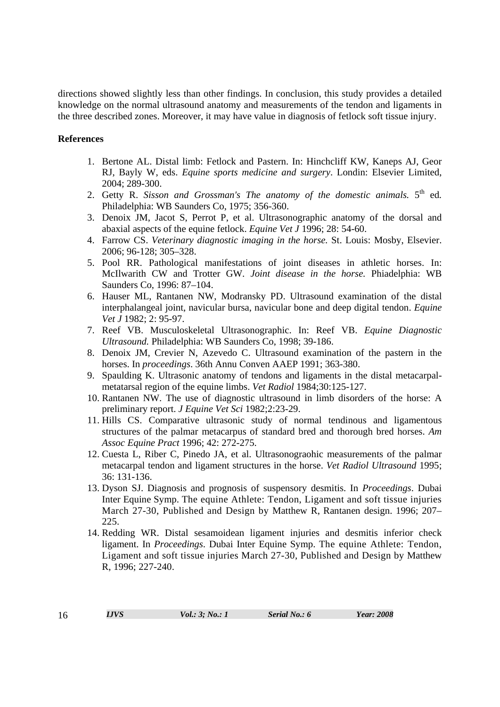directions showed slightly less than other findings. In conclusion, this study provides a detailed knowledge on the normal ultrasound anatomy and measurements of the tendon and ligaments in the three described zones. Moreover, it may have value in diagnosis of fetlock soft tissue injury.

## **References**

- 1. Bertone AL. Distal limb: Fetlock and Pastern. In: Hinchcliff KW, Kaneps AJ, Geor RJ, Bayly W, eds. *Equine sports medicine and surgery*. Londin: Elsevier Limited, 2004; 289-300.
- 2. Getty R. *Sisson and Grossman's The anatomy of the domestic animals.* 5th ed*.* Philadelphia: WB Saunders Co, 1975; 356-360.
- 3. Denoix JM, Jacot S, Perrot P, et al. Ultrasonographic anatomy of the dorsal and abaxial aspects of the equine fetlock. *Equine Vet J* 1996; 28: 54-60.
- 4. Farrow CS. *Veterinary diagnostic imaging in the horse.* St. Louis: Mosby, Elsevier. 2006; 96-128; 305–328.
- 5. Pool RR. Pathological manifestations of joint diseases in athletic horses. In: McIlwarith CW and Trotter GW. *Joint disease in the horse.* Phiadelphia: WB Saunders Co, 1996: 87–104.
- 6. Hauser ML, Rantanen NW, Modransky PD. Ultrasound examination of the distal interphalangeal joint, navicular bursa, navicular bone and deep digital tendon. *Equine Vet J* 1982; 2: 95-97.
- 7. Reef VB. Musculoskeletal Ultrasonographic. In: Reef VB. *Equine Diagnostic Ultrasound.* Philadelphia: WB Saunders Co, 1998; 39-186.
- 8. Denoix JM, Crevier N, Azevedo C. Ultrasound examination of the pastern in the horses. In *proceedings*. 36th Annu Conven AAEP 1991; 363-380.
- 9. Spaulding K. Ultrasonic anatomy of tendons and ligaments in the distal metacarpalmetatarsal region of the equine limbs. *Vet Radiol* 1984;30:125-127.
- 10. Rantanen NW. The use of diagnostic ultrasound in limb disorders of the horse: A preliminary report. *J Equine Vet Sci* 1982;2:23-29.
- 11. Hills CS. Comparative ultrasonic study of normal tendinous and ligamentous structures of the palmar metacarpus of standard bred and thorough bred horses. *Am Assoc Equine Pract* 1996; 42: 272-275.
- 12. Cuesta L, Riber C, Pinedo JA, et al. Ultrasonograohic measurements of the palmar metacarpal tendon and ligament structures in the horse. *Vet Radiol Ultrasound* 1995; 36: 131-136.
- 13. Dyson SJ. Diagnosis and prognosis of suspensory desmitis. In *Proceedings*. Dubai Inter Equine Symp. The equine Athlete: Tendon, Ligament and soft tissue injuries March 27-30, Published and Design by Matthew R, Rantanen design. 1996; 207– 225.
- 14. Redding WR. Distal sesamoidean ligament injuries and desmitis inferior check ligament. In *Proceedings*. Dubai Inter Equine Symp. The equine Athlete: Tendon, Ligament and soft tissue injuries March 27-30, Published and Design by Matthew R, 1996; 227-240.